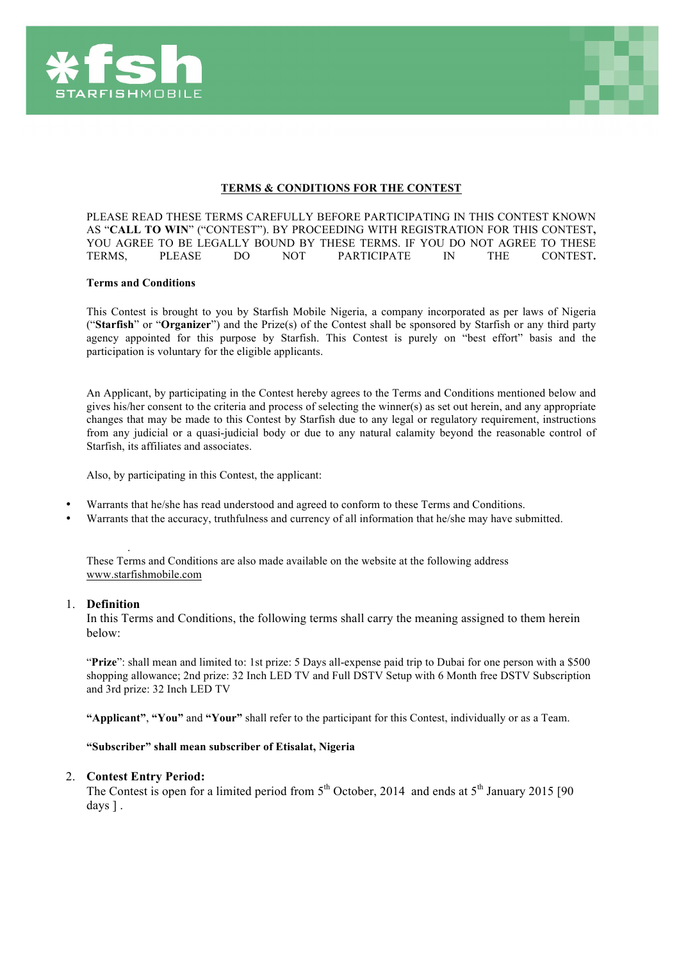



## **TERMS & CONDITIONS FOR THE CONTEST**

PLEASE READ THESE TERMS CAREFULLY BEFORE PARTICIPATING IN THIS CONTEST KNOWN AS "**CALL TO WIN**" ("CONTEST"). BY PROCEEDING WITH REGISTRATION FOR THIS CONTEST**,**  YOU AGREE TO BE LEGALLY BOUND BY THESE TERMS. IF YOU DO NOT AGREE TO THESE TERMS, PLEASE DO NOT PARTICIPATE IN THE CONTEST**.**

#### **Terms and Conditions**

This Contest is brought to you by Starfish Mobile Nigeria, a company incorporated as per laws of Nigeria ("**Starfish**" or "**Organizer**") and the Prize(s) of the Contest shall be sponsored by Starfish or any third party agency appointed for this purpose by Starfish. This Contest is purely on "best effort" basis and the participation is voluntary for the eligible applicants.

An Applicant, by participating in the Contest hereby agrees to the Terms and Conditions mentioned below and gives his/her consent to the criteria and process of selecting the winner(s) as set out herein, and any appropriate changes that may be made to this Contest by Starfish due to any legal or regulatory requirement, instructions from any judicial or a quasi-judicial body or due to any natural calamity beyond the reasonable control of Starfish, its affiliates and associates.

Also, by participating in this Contest, the applicant:

- Warrants that he/she has read understood and agreed to conform to these Terms and Conditions.
- Warrants that the accuracy, truthfulness and currency of all information that he/she may have submitted.

. These Terms and Conditions are also made available on the website at the following address www.starfishmobile.com

#### 1. **Definition**

In this Terms and Conditions, the following terms shall carry the meaning assigned to them herein below:

"**Prize**": shall mean and limited to: 1st prize: 5 Days all-expense paid trip to Dubai for one person with a \$500 shopping allowance; 2nd prize: 32 Inch LED TV and Full DSTV Setup with 6 Month free DSTV Subscription and 3rd prize: 32 Inch LED TV

**"Applicant"**, **"You"** and **"Your"** shall refer to the participant for this Contest, individually or as a Team.

### **"Subscriber" shall mean subscriber of Etisalat, Nigeria**

#### 2. **Contest Entry Period:**

The Contest is open for a limited period from  $5<sup>th</sup>$  October, 2014 and ends at  $5<sup>th</sup>$  January 2015 [90] days ].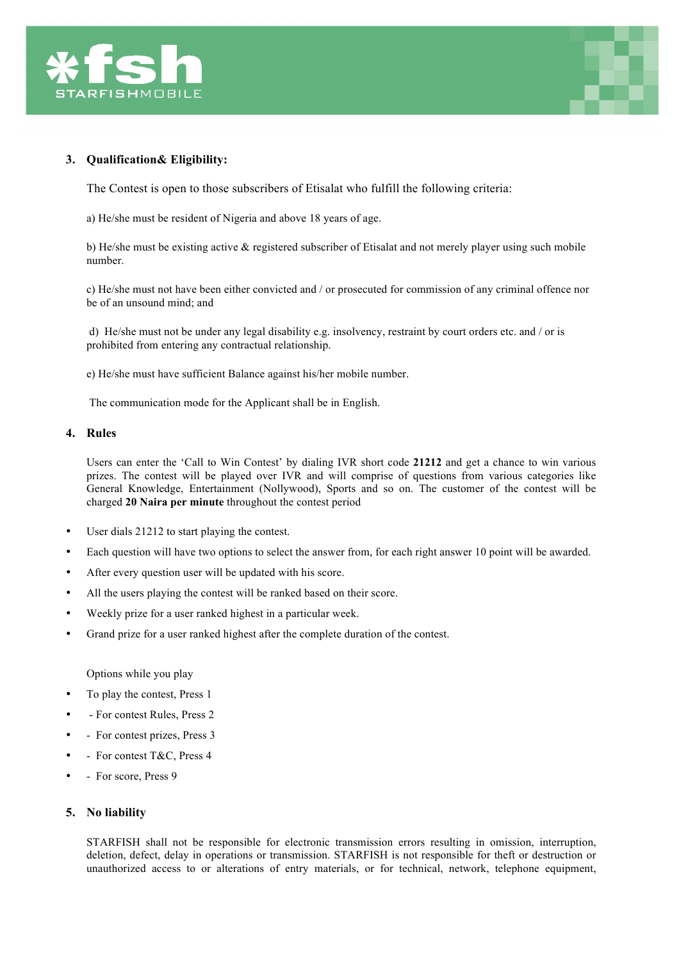



# **3. Qualification& Eligibility:**

The Contest is open to those subscribers of Etisalat who fulfill the following criteria:

a) He/she must be resident of Nigeria and above 18 years of age.

b) He/she must be existing active  $\&$  registered subscriber of Etisalat and not merely player using such mobile number.

c) He/she must not have been either convicted and / or prosecuted for commission of any criminal offence nor be of an unsound mind; and

d) He/she must not be under any legal disability e.g. insolvency, restraint by court orders etc. and / or is prohibited from entering any contractual relationship.

e) He/she must have sufficient Balance against his/her mobile number.

The communication mode for the Applicant shall be in English.

## **4. Rules**

Users can enter the 'Call to Win Contest' by dialing IVR short code **21212** and get a chance to win various prizes. The contest will be played over IVR and will comprise of questions from various categories like General Knowledge, Entertainment (Nollywood), Sports and so on. The customer of the contest will be charged **20 Naira per minute** throughout the contest period

- User dials 21212 to start playing the contest.
- Each question will have two options to select the answer from, for each right answer 10 point will be awarded.
- After every question user will be updated with his score.
- All the users playing the contest will be ranked based on their score.
- Weekly prize for a user ranked highest in a particular week.
- Grand prize for a user ranked highest after the complete duration of the contest.

Options while you play

- To play the contest, Press 1
- - For contest Rules, Press 2
- - For contest prizes, Press 3
- - For contest T&C, Press 4
- For score, Press 9

### **5. No liability**

STARFISH shall not be responsible for electronic transmission errors resulting in omission, interruption, deletion, defect, delay in operations or transmission. STARFISH is not responsible for theft or destruction or unauthorized access to or alterations of entry materials, or for technical, network, telephone equipment,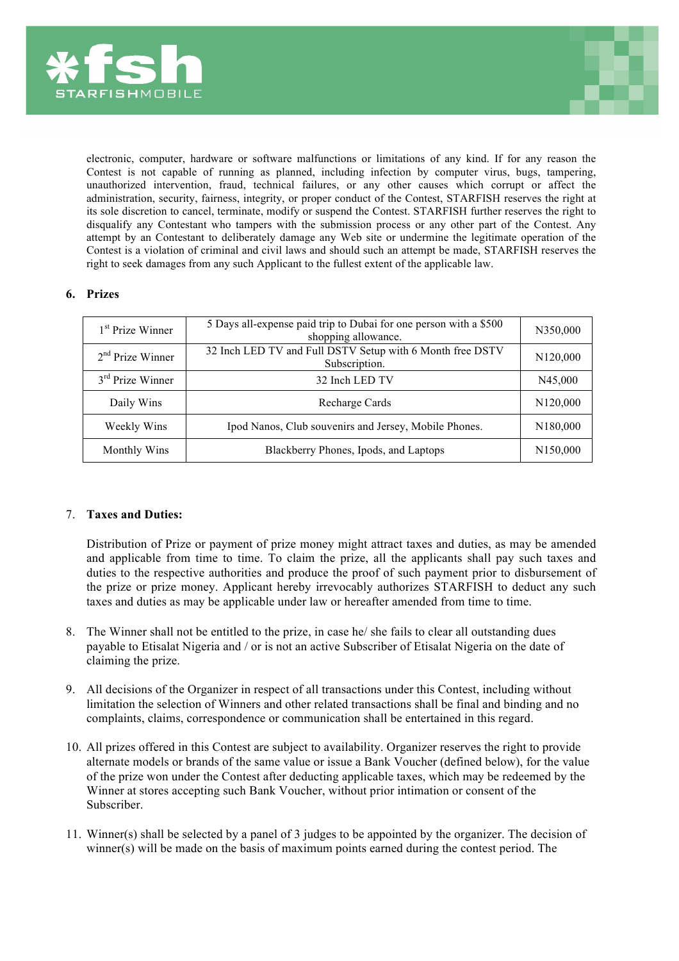



electronic, computer, hardware or software malfunctions or limitations of any kind. If for any reason the Contest is not capable of running as planned, including infection by computer virus, bugs, tampering, unauthorized intervention, fraud, technical failures, or any other causes which corrupt or affect the administration, security, fairness, integrity, or proper conduct of the Contest, STARFISH reserves the right at its sole discretion to cancel, terminate, modify or suspend the Contest. STARFISH further reserves the right to disqualify any Contestant who tampers with the submission process or any other part of the Contest. Any attempt by an Contestant to deliberately damage any Web site or undermine the legitimate operation of the Contest is a violation of criminal and civil laws and should such an attempt be made, STARFISH reserves the right to seek damages from any such Applicant to the fullest extent of the applicable law.

# **6. Prizes**

| 1 <sup>st</sup> Prize Winner | 5 Days all-expense paid trip to Dubai for one person with a \$500<br>shopping allowance. | N350,000             |
|------------------------------|------------------------------------------------------------------------------------------|----------------------|
| $2nd$ Prize Winner           | 32 Inch LED TV and Full DSTV Setup with 6 Month free DSTV<br>Subscription.               | N <sub>120,000</sub> |
| $3rd$ Prize Winner           | 32 Inch LED TV                                                                           | N45,000              |
| Daily Wins                   | Recharge Cards                                                                           | N <sub>120,000</sub> |
| Weekly Wins                  | Ipod Nanos, Club souvenirs and Jersey, Mobile Phones.                                    | N <sub>180,000</sub> |
| Monthly Wins                 | Blackberry Phones, Ipods, and Laptops                                                    | N <sub>150,000</sub> |

# 7. **Taxes and Duties:**

Distribution of Prize or payment of prize money might attract taxes and duties, as may be amended and applicable from time to time. To claim the prize, all the applicants shall pay such taxes and duties to the respective authorities and produce the proof of such payment prior to disbursement of the prize or prize money. Applicant hereby irrevocably authorizes STARFISH to deduct any such taxes and duties as may be applicable under law or hereafter amended from time to time.

- 8. The Winner shall not be entitled to the prize, in case he/ she fails to clear all outstanding dues payable to Etisalat Nigeria and / or is not an active Subscriber of Etisalat Nigeria on the date of claiming the prize.
- 9. All decisions of the Organizer in respect of all transactions under this Contest, including without limitation the selection of Winners and other related transactions shall be final and binding and no complaints, claims, correspondence or communication shall be entertained in this regard.
- 10. All prizes offered in this Contest are subject to availability. Organizer reserves the right to provide alternate models or brands of the same value or issue a Bank Voucher (defined below), for the value of the prize won under the Contest after deducting applicable taxes, which may be redeemed by the Winner at stores accepting such Bank Voucher, without prior intimation or consent of the Subscriber.
- 11. Winner(s) shall be selected by a panel of 3 judges to be appointed by the organizer. The decision of winner(s) will be made on the basis of maximum points earned during the contest period. The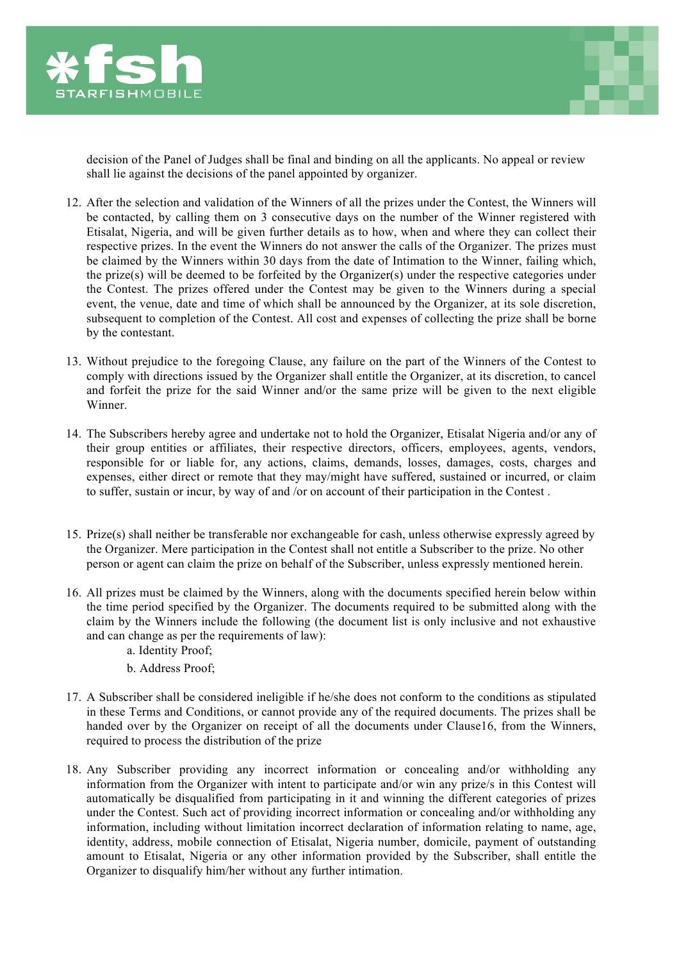



decision of the Panel of Judges shall be final and binding on all the applicants. No appeal or review shall lie against the decisions of the panel appointed by organizer.

- 12. After the selection and validation of the Winners of all the prizes under the Contest, the Winners will be contacted, by calling them on 3 consecutive days on the number of the Winner registered with Etisalat, Nigeria, and will be given further details as to how, when and where they can collect their respective prizes. In the event the Winners do not answer the calls of the Organizer. The prizes must be claimed by the Winners within 30 days from the date of Intimation to the Winner, failing which, the prize(s) will be deemed to be forfeited by the Organizer(s) under the respective categories under the Contest. The prizes offered under the Contest may be given to the Winners during a special event, the venue, date and time of which shall be announced by the Organizer, at its sole discretion, subsequent to completion of the Contest. All cost and expenses of collecting the prize shall be borne by the contestant.
- 13. Without prejudice to the foregoing Clause, any failure on the part of the Winners of the Contest to comply with directions issued by the Organizer shall entitle the Organizer, at its discretion, to cancel and forfeit the prize for the said Winner and/or the same prize will be given to the next eligible Winner.
- 14. The Subscribers hereby agree and undertake not to hold the Organizer, Etisalat Nigeria and/or any of their group entities or affiliates, their respective directors, officers, employees, agents, vendors, responsible for or liable for, any actions, claims, demands, losses, damages, costs, charges and expenses, either direct or remote that they may/might have suffered, sustained or incurred, or claim to suffer, sustain or incur, by way of and /or on account of their participation in the Contest .
- 15. Prize(s) shall neither be transferable nor exchangeable for cash, unless otherwise expressly agreed by the Organizer. Mere participation in the Contest shall not entitle a Subscriber to the prize. No other person or agent can claim the prize on behalf of the Subscriber, unless expressly mentioned herein.
- 16. All prizes must be claimed by the Winners, along with the documents specified herein below within the time period specified by the Organizer. The documents required to be submitted along with the claim by the Winners include the following (the document list is only inclusive and not exhaustive and can change as per the requirements of law):
	- a. Identity Proof;
	- b. Address Proof;
- 17. A Subscriber shall be considered ineligible if he/she does not conform to the conditions as stipulated in these Terms and Conditions, or cannot provide any of the required documents. The prizes shall be handed over by the Organizer on receipt of all the documents under Clause16, from the Winners, required to process the distribution of the prize
- 18. Any Subscriber providing any incorrect information or concealing and/or withholding any information from the Organizer with intent to participate and/or win any prize/s in this Contest will automatically be disqualified from participating in it and winning the different categories of prizes under the Contest. Such act of providing incorrect information or concealing and/or withholding any information, including without limitation incorrect declaration of information relating to name, age, identity, address, mobile connection of Etisalat, Nigeria number, domicile, payment of outstanding amount to Etisalat, Nigeria or any other information provided by the Subscriber, shall entitle the Organizer to disqualify him/her without any further intimation.